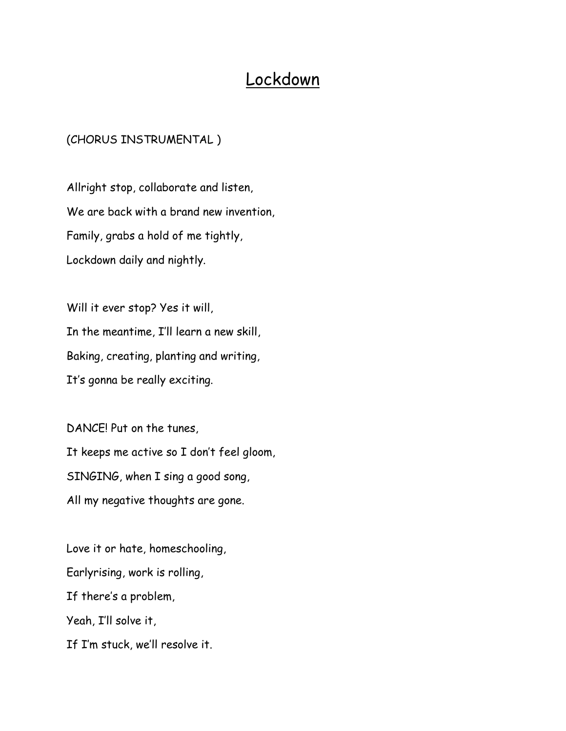## Lockdown

## (CHORUS INSTRUMENTAL )

Allright stop, collaborate and listen, We are back with a brand new invention, Family, grabs a hold of me tightly, Lockdown daily and nightly.

Will it ever stop? Yes it will, In the meantime, I'll learn a new skill, Baking, creating, planting and writing, It's gonna be really exciting.

DANCE! Put on the tunes, It keeps me active so I don't feel gloom, SINGING, when I sing a good song, All my negative thoughts are gone.

Love it or hate, homeschooling, Earlyrising, work is rolling, If there's a problem, Yeah, I'll solve it, If I'm stuck, we'll resolve it.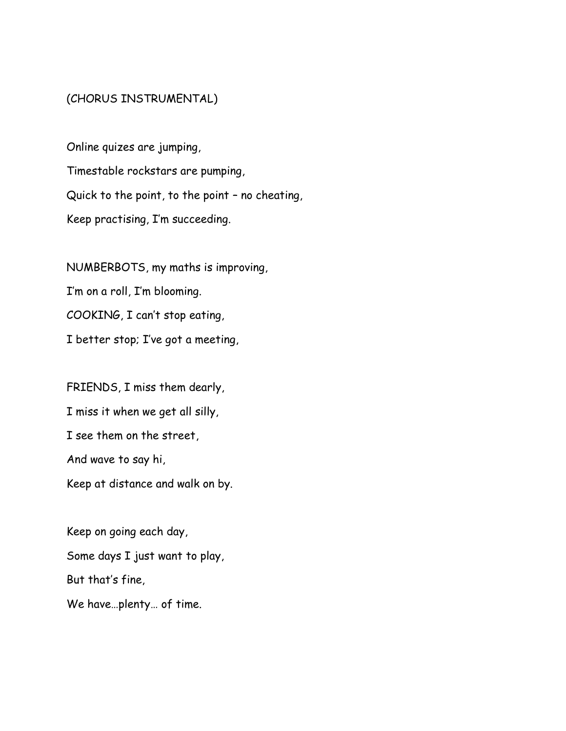## (CHORUS INSTRUMENTAL)

Online quizes are jumping, Timestable rockstars are pumping, Quick to the point, to the point – no cheating, Keep practising, I'm succeeding.

NUMBERBOTS, my maths is improving, I'm on a roll, I'm blooming. COOKING, I can't stop eating, I better stop; I've got a meeting,

FRIENDS, I miss them dearly, I miss it when we get all silly, I see them on the street, And wave to say hi, Keep at distance and walk on by.

Keep on going each day, Some days I just want to play, But that's fine, We have…plenty… of time.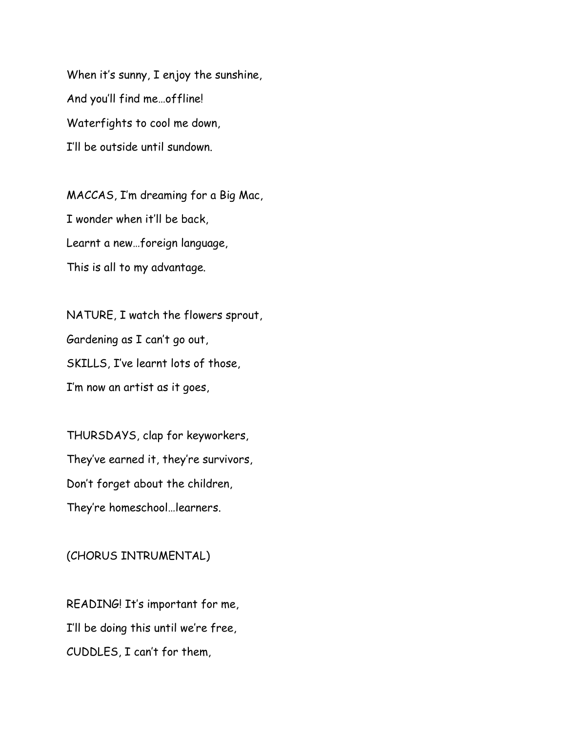When it's sunny, I enjoy the sunshine, And you'll find me…offline! Waterfights to cool me down, I'll be outside until sundown.

MACCAS, I'm dreaming for a Big Mac, I wonder when it'll be back, Learnt a new…foreign language, This is all to my advantage.

NATURE, I watch the flowers sprout, Gardening as I can't go out, SKILLS, I've learnt lots of those, I'm now an artist as it goes,

THURSDAYS, clap for keyworkers, They've earned it, they're survivors, Don't forget about the children, They're homeschool…learners.

## (CHORUS INTRUMENTAL)

READING! It's important for me, I'll be doing this until we're free, CUDDLES, I can't for them,